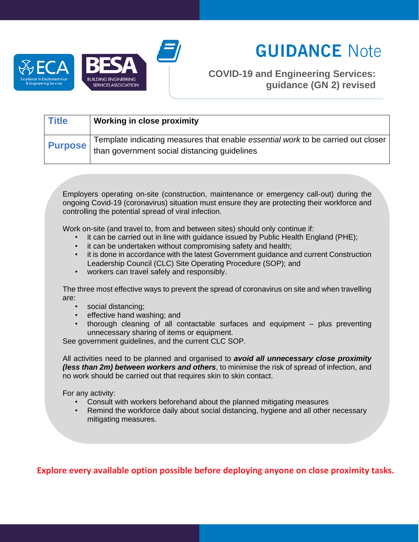



# **GUIDANCE Note**

## **COVID-19 and Engineering Services: guidance (GN 2) revised**

| <b>Title</b>   | <b>Working in close proximity</b>                                                                                                |
|----------------|----------------------------------------------------------------------------------------------------------------------------------|
| <b>Purpose</b> | Template indicating measures that enable essential work to be carried out closer<br>than government social distancing guidelines |

Employers operating on-site (construction, maintenance or emergency call-out) during the ongoing Covid-19 (coronavirus) situation must ensure they are protecting their workforce and controlling the potential spread of viral infection.

Work on-site (and travel to, from and between sites) should only continue if:

- it can be carried out in line with guidance issued by Public Health England (PHE);
- it can be undertaken without compromising safety and health;
- it is done in accordance with the latest Government guidance and current Construction Leadership Council (CLC) Site Operating Procedure (SOP); and
- workers can travel safely and responsibly.

The three most effective ways to prevent the spread of coronavirus on site and when travelling are:

- social distancing;
- effective hand washing; and
- thorough cleaning of all contactable surfaces and equipment  $-$  plus preventing unnecessary sharing of items or equipment.

See government guidelines, and the current CLC SOP.

All activities need to be planned and organised to *avoid all unnecessary close proximity (less than 2m) between workers and others*, to minimise the risk of spread of infection, and no work should be carried out that requires skin to skin contact.

For any activity:

- Consult with workers beforehand about the planned mitigating measures
- Remind the workforce daily about social distancing, hygiene and all other necessary mitigating measures.

**Explore every available option possible before deploying anyone on close proximity tasks.**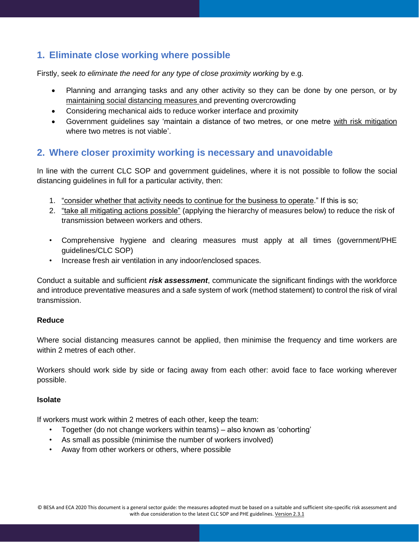## **1. Eliminate close working where possible**

Firstly, seek *to eliminate the need for any type of close proximity working* by e.g.

- Planning and arranging tasks and any other activity so they can be done by one person, or by maintaining social distancing measures and preventing overcrowding
- Considering mechanical aids to reduce worker interface and proximity
- Government guidelines say 'maintain a distance of two metres, or one metre with risk mitigation where two metres is not viable'.

### **2. Where closer proximity working is necessary and unavoidable**

In line with the current CLC SOP and government guidelines, where it is not possible to follow the social distancing guidelines in full for a particular activity, then:

- 1. "consider whether that activity needs to continue for the business to operate." If this is so;
- 2. "take all mitigating actions possible" (applying the hierarchy of measures below) to reduce the risk of transmission between workers and others.
- Comprehensive hygiene and clearing measures must apply at all times (government/PHE guidelines/CLC SOP)
- Increase fresh air ventilation in any indoor/enclosed spaces.

Conduct a suitable and sufficient *risk assessment*, communicate the significant findings with the workforce and introduce preventative measures and a safe system of work (method statement) to control the risk of viral transmission.

#### **Reduce**

Where social distancing measures cannot be applied, then minimise the frequency and time workers are within 2 metres of each other.

Workers should work side by side or facing away from each other: avoid face to face working wherever possible.

#### **Isolate**

If workers must work within 2 metres of each other, keep the team:

- Together (do not change workers within teams) also known as 'cohorting'
- As small as possible (minimise the number of workers involved)
- Away from other workers or others, where possible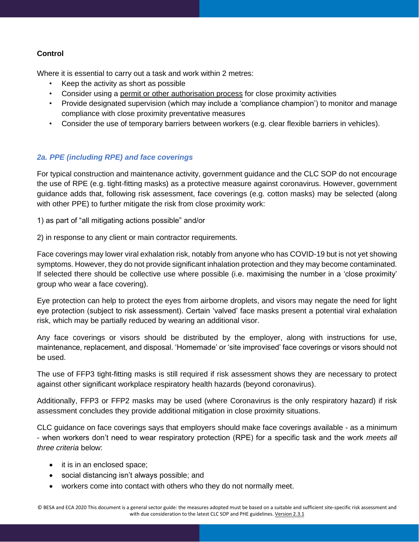#### **Control**

Where it is essential to carry out a task and work within 2 metres:

- Keep the activity as short as possible
- Consider using a permit or other authorisation process for close proximity activities
- Provide designated supervision (which may include a 'compliance champion') to monitor and manage compliance with close proximity preventative measures
- Consider the use of temporary barriers between workers (e.g. clear flexible barriers in vehicles).

#### *2a. PPE (including RPE) and face coverings*

For typical construction and maintenance activity, government guidance and the CLC SOP do not encourage the use of RPE (e.g. tight-fitting masks) as a protective measure against coronavirus. However, government guidance adds that, following risk assessment, face coverings (e.g. cotton masks) may be selected (along with other PPE) to further mitigate the risk from close proximity work:

1) as part of "all mitigating actions possible" and/or

2) in response to any client or main contractor requirements.

Face coverings may lower viral exhalation risk, notably from anyone who has COVID-19 but is not yet showing symptoms. However, they do not provide significant inhalation protection and they may become contaminated. If selected there should be collective use where possible (i.e. maximising the number in a 'close proximity' group who wear a face covering).

Eye protection can help to protect the eyes from airborne droplets, and visors may negate the need for light eye protection (subject to risk assessment). Certain 'valved' face masks present a potential viral exhalation risk, which may be partially reduced by wearing an additional visor.

Any face coverings or visors should be distributed by the employer, along with instructions for use, maintenance, replacement, and disposal. 'Homemade' or 'site improvised' face coverings or visors should not be used.

The use of FFP3 tight-fitting masks is still required if risk assessment shows they are necessary to protect against other significant workplace respiratory health hazards (beyond coronavirus).

Additionally, FFP3 or FFP2 masks may be used (where Coronavirus is the only respiratory hazard) if risk assessment concludes they provide additional mitigation in close proximity situations.

CLC guidance on face coverings says that employers should make face coverings available - as a minimum - when workers don't need to wear respiratory protection (RPE) for a specific task and the work *meets all three criteria* below:

- it is in an enclosed space;
- social distancing isn't always possible; and
- workers come into contact with others who they do not normally meet.

© BESA and ECA 2020 This document is a general sector guide: the measures adopted must be based on a suitable and sufficient site-specific risk assessment and with due consideration to the latest CLC SOP and PHE guidelines. Version 2.3.1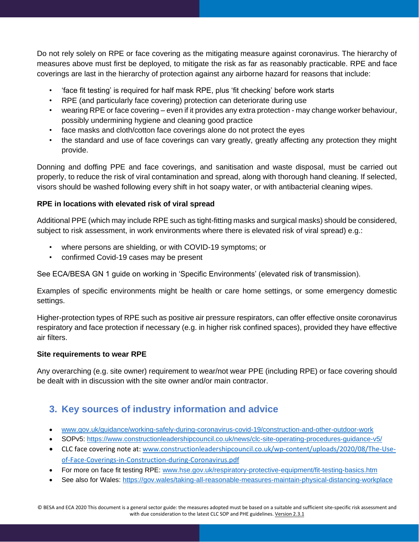Do not rely solely on RPE or face covering as the mitigating measure against coronavirus. The hierarchy of measures above must first be deployed, to mitigate the risk as far as reasonably practicable. RPE and face coverings are last in the hierarchy of protection against any airborne hazard for reasons that include:

- 'face fit testing' is required for half mask RPE, plus 'fit checking' before work starts
- RPE (and particularly face covering) protection can deteriorate during use
- wearing RPE or face covering even if it provides any extra protection may change worker behaviour, possibly undermining hygiene and cleaning good practice
- face masks and cloth/cotton face coverings alone do not protect the eyes
- the standard and use of face coverings can vary greatly, greatly affecting any protection they might provide.

Donning and doffing PPE and face coverings, and sanitisation and waste disposal, must be carried out properly, to reduce the risk of viral contamination and spread, along with thorough hand cleaning. If selected, visors should be washed following every shift in hot soapy water, or with antibacterial cleaning wipes.

#### **RPE in locations with elevated risk of viral spread**

Additional PPE (which may include RPE such as tight-fitting masks and surgical masks) should be considered, subject to risk assessment, in work environments where there is elevated risk of viral spread) e.g.:

- where persons are shielding, or with COVID-19 symptoms; or
- confirmed Covid-19 cases may be present

See ECA/BESA GN 1 guide on working in 'Specific Environments' (elevated risk of transmission).

Examples of specific environments might be health or care home settings, or some emergency domestic settings.

Higher-protection types of RPE such as positive air pressure respirators, can offer effective onsite coronavirus respiratory and face protection if necessary (e.g. in higher risk confined spaces), provided they have effective air filters.

#### **Site requirements to wear RPE**

Any overarching (e.g. site owner) requirement to wear/not wear PPE (including RPE) or face covering should be dealt with in discussion with the site owner and/or main contractor.

# **3. Key sources of industry information and advice**

- [www.gov.uk/guidance/working-safely-during-coronavirus-covid-19/construction-and-other-outdoor-work](http://www.gov.uk/guidance/working-safely-during-coronavirus-covid-19/construction-and-other-outdoor-work)
- SOPv5:<https://www.constructionleadershipcouncil.co.uk/news/clc-site-operating-procedures-guidance-v5/>
- CLC face covering note at: [www.constructionleadershipcouncil.co.uk/wp-content/uploads/2020/08/The-Use](http://www.constructionleadershipcouncil.co.uk/wp-content/uploads/2020/08/The-Use-of-Face-Coverings-in-Construction-during-Coronavirus.pdf)[of-Face-Coverings-in-Construction-during-Coronavirus.pdf](http://www.constructionleadershipcouncil.co.uk/wp-content/uploads/2020/08/The-Use-of-Face-Coverings-in-Construction-during-Coronavirus.pdf)
- For more on face fit testing RPE: [www.hse.gov.uk/respiratory-protective-equipment/fit-testing-basics.htm](http://www.hse.gov.uk/respiratory-protective-equipment/fit-testing-basics.htm)
- See also for Wales:<https://gov.wales/taking-all-reasonable-measures-maintain-physical-distancing-workplace>

© BESA and ECA 2020 This document is a general sector guide: the measures adopted must be based on a suitable and sufficient site-specific risk assessment and with due consideration to the latest CLC SOP and PHE guidelines. Version 2.3.1